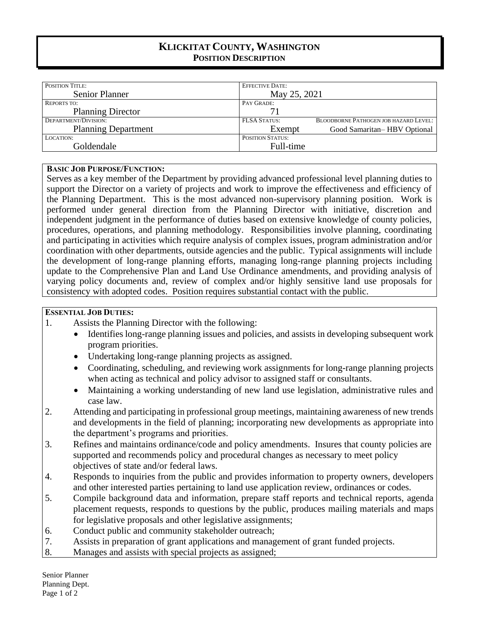# **KLICKITAT COUNTY, WASHINGTON POSITION DESCRIPTION**

| <b>POSITION TITLE:</b>     | <b>EFFECTIVE DATE:</b>  |                                              |
|----------------------------|-------------------------|----------------------------------------------|
| <b>Senior Planner</b>      | May 25, 2021            |                                              |
| <b>REPORTS TO:</b>         | PAY GRADE:              |                                              |
| <b>Planning Director</b>   | 71                      |                                              |
| DEPARTMENT/DIVISION:       | <b>FLSA STATUS:</b>     | <b>BLOODBORNE PATHOGEN JOB HAZARD LEVEL:</b> |
| <b>Planning Department</b> | Exempt                  | Good Samaritan–HBV Optional                  |
| LOCATION:                  | <b>POSITION STATUS:</b> |                                              |
| Goldendale                 | Full-time               |                                              |

#### **BASIC JOB PURPOSE/FUNCTION:**

Serves as a key member of the Department by providing advanced professional level planning duties to support the Director on a variety of projects and work to improve the effectiveness and efficiency of the Planning Department. This is the most advanced non-supervisory planning position. Work is performed under general direction from the Planning Director with initiative, discretion and independent judgment in the performance of duties based on extensive knowledge of county policies, procedures, operations, and planning methodology. Responsibilities involve planning, coordinating and participating in activities which require analysis of complex issues, program administration and/or coordination with other departments, outside agencies and the public. Typical assignments will include the development of long-range planning efforts, managing long-range planning projects including update to the Comprehensive Plan and Land Use Ordinance amendments, and providing analysis of varying policy documents and, review of complex and/or highly sensitive land use proposals for consistency with adopted codes. Position requires substantial contact with the public.

### **ESSENTIAL JOB DUTIES:**

- 1. Assists the Planning Director with the following:
	- Identifies long-range planning issues and policies, and assists in developing subsequent work program priorities.
	- Undertaking long-range planning projects as assigned.
	- Coordinating, scheduling, and reviewing work assignments for long-range planning projects when acting as technical and policy advisor to assigned staff or consultants.
	- Maintaining a working understanding of new land use legislation, administrative rules and case law.
- 2. Attending and participating in professional group meetings, maintaining awareness of new trends and developments in the field of planning; incorporating new developments as appropriate into the department's programs and priorities.
- 3. Refines and maintains ordinance/code and policy amendments. Insures that county policies are supported and recommends policy and procedural changes as necessary to meet policy objectives of state and/or federal laws.
- 4. Responds to inquiries from the public and provides information to property owners, developers and other interested parties pertaining to land use application review, ordinances or codes.
- 5. Compile background data and information, prepare staff reports and technical reports, agenda placement requests, responds to questions by the public, produces mailing materials and maps for legislative proposals and other legislative assignments;
- 6. Conduct public and community stakeholder outreach;
- 7. Assists in preparation of grant applications and management of grant funded projects.
- 8. Manages and assists with special projects as assigned;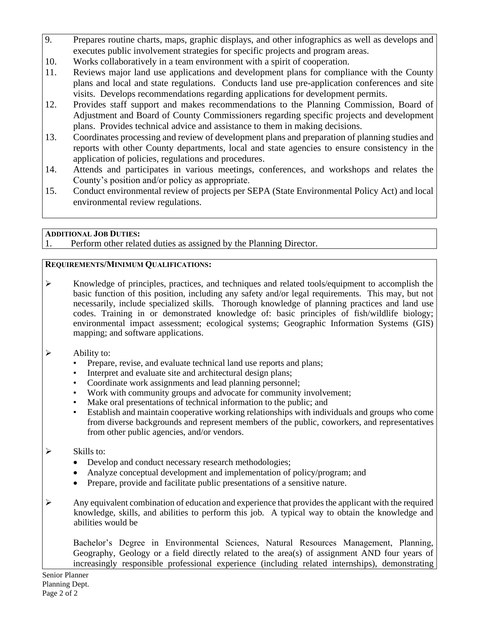- 9. Prepares routine charts, maps, graphic displays, and other infographics as well as develops and executes public involvement strategies for specific projects and program areas.
- 10. Works collaboratively in a team environment with a spirit of cooperation.
- 11. Reviews major land use applications and development plans for compliance with the County plans and local and state regulations. Conducts land use pre-application conferences and site visits. Develops recommendations regarding applications for development permits.
- 12. Provides staff support and makes recommendations to the Planning Commission, Board of Adjustment and Board of County Commissioners regarding specific projects and development plans. Provides technical advice and assistance to them in making decisions.
- 13. Coordinates processing and review of development plans and preparation of planning studies and reports with other County departments, local and state agencies to ensure consistency in the application of policies, regulations and procedures.
- 14. Attends and participates in various meetings, conferences, and workshops and relates the County's position and/or policy as appropriate.
- 15. Conduct environmental review of projects per SEPA (State Environmental Policy Act) and local environmental review regulations.

## **ADDITIONAL JOB DUTIES:**

1. Perform other related duties as assigned by the Planning Director.

## **REQUIREMENTS/MINIMUM QUALIFICATIONS:**

- ➢ Knowledge of principles, practices, and techniques and related tools/equipment to accomplish the basic function of this position, including any safety and/or legal requirements. This may, but not necessarily, include specialized skills. Thorough knowledge of planning practices and land use codes. Training in or demonstrated knowledge of: basic principles of fish/wildlife biology; environmental impact assessment; ecological systems; Geographic Information Systems (GIS) mapping; and software applications.
- $\triangleright$  Ability to:
	- Prepare, revise, and evaluate technical land use reports and plans;
	- Interpret and evaluate site and architectural design plans;
	- Coordinate work assignments and lead planning personnel;
	- Work with community groups and advocate for community involvement;
	- Make oral presentations of technical information to the public; and
	- Establish and maintain cooperative working relationships with individuals and groups who come from diverse backgrounds and represent members of the public, coworkers, and representatives from other public agencies, and/or vendors.

# $\triangleright$  Skills to:

- Develop and conduct necessary research methodologies;
- Analyze conceptual development and implementation of policy/program; and
- Prepare, provide and facilitate public presentations of a sensitive nature.
- $\triangleright$  Any equivalent combination of education and experience that provides the applicant with the required knowledge, skills, and abilities to perform this job. A typical way to obtain the knowledge and abilities would be

Bachelor's Degree in Environmental Sciences, Natural Resources Management, Planning, Geography, Geology or a field directly related to the area(s) of assignment AND four years of increasingly responsible professional experience (including related internships), demonstrating